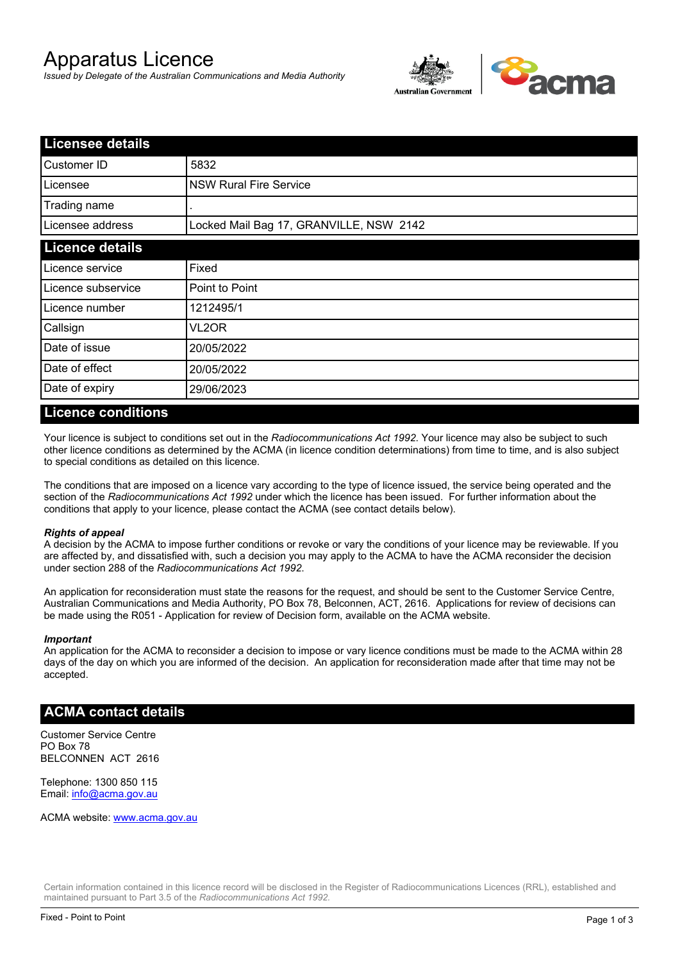# Apparatus Licence

*Issued by Delegate of the Australian Communications and Media Authority*



| <b>Licensee details</b> |                                         |  |
|-------------------------|-----------------------------------------|--|
| Customer ID             | 5832                                    |  |
| Licensee                | <b>NSW Rural Fire Service</b>           |  |
| Trading name            |                                         |  |
| Licensee address        | Locked Mail Bag 17, GRANVILLE, NSW 2142 |  |
| <b>Licence details</b>  |                                         |  |
| Licence service         | Fixed                                   |  |
| Licence subservice      | Point to Point                          |  |
| Licence number          | 1212495/1                               |  |
| Callsign                | VL2OR                                   |  |
| Date of issue           | 20/05/2022                              |  |
| Date of effect          | 20/05/2022                              |  |
| Date of expiry          | 29/06/2023                              |  |

### **Licence conditions**

Your licence is subject to conditions set out in the *Radiocommunications Act 1992*. Your licence may also be subject to such other licence conditions as determined by the ACMA (in licence condition determinations) from time to time, and is also subject to special conditions as detailed on this licence.

The conditions that are imposed on a licence vary according to the type of licence issued, the service being operated and the section of the *Radiocommunications Act 1992* under which the licence has been issued. For further information about the conditions that apply to your licence, please contact the ACMA (see contact details below).

### *Rights of appeal*

A decision by the ACMA to impose further conditions or revoke or vary the conditions of your licence may be reviewable. If you are affected by, and dissatisfied with, such a decision you may apply to the ACMA to have the ACMA reconsider the decision under section 288 of the *Radiocommunications Act 1992*.

An application for reconsideration must state the reasons for the request, and should be sent to the Customer Service Centre, Australian Communications and Media Authority, PO Box 78, Belconnen, ACT, 2616. Applications for review of decisions can be made using the R051 - Application for review of Decision form, available on the ACMA website.

#### *Important*

An application for the ACMA to reconsider a decision to impose or vary licence conditions must be made to the ACMA within 28 days of the day on which you are informed of the decision. An application for reconsideration made after that time may not be accepted.

### **ACMA contact details**

Customer Service Centre PO Box 78 BELCONNEN ACT 2616

Telephone: 1300 850 115 Email: info@acma.gov.au

ACMA website: www.acma.gov.au

Certain information contained in this licence record will be disclosed in the Register of Radiocommunications Licences (RRL), established and maintained pursuant to Part 3.5 of the *Radiocommunications Act 1992.*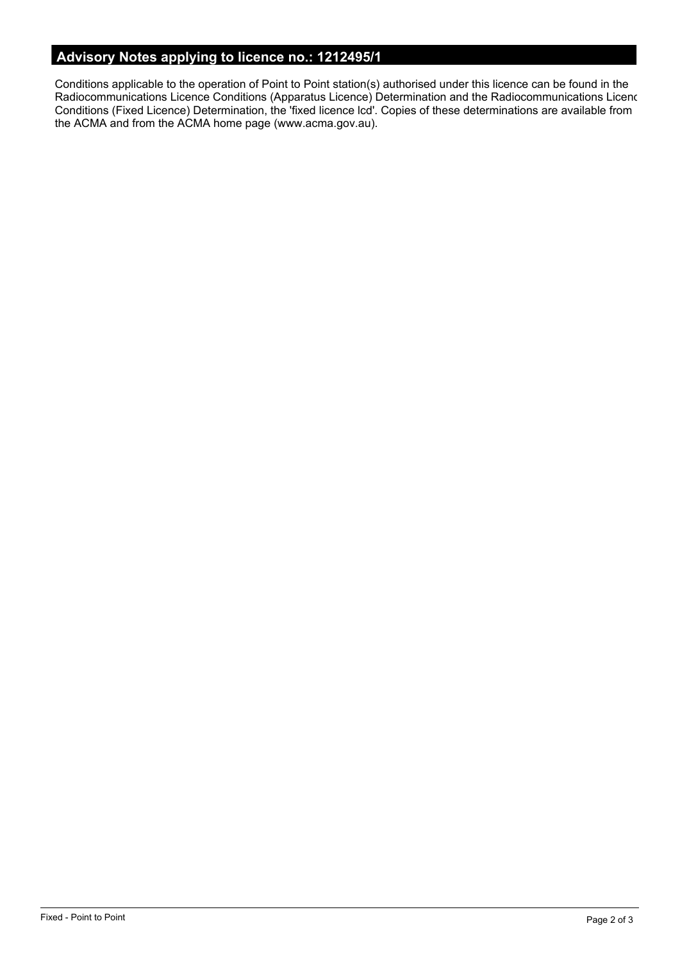# **Advisory Notes applying to licence no.: 1212495/1**

Conditions applicable to the operation of Point to Point station(s) authorised under this licence can be found in the Radiocommunications Licence Conditions (Apparatus Licence) Determination and the Radiocommunications Licence Conditions (Fixed Licence) Determination, the 'fixed licence lcd'. Copies of these determinations are available from the ACMA and from the ACMA home page (www.acma.gov.au).